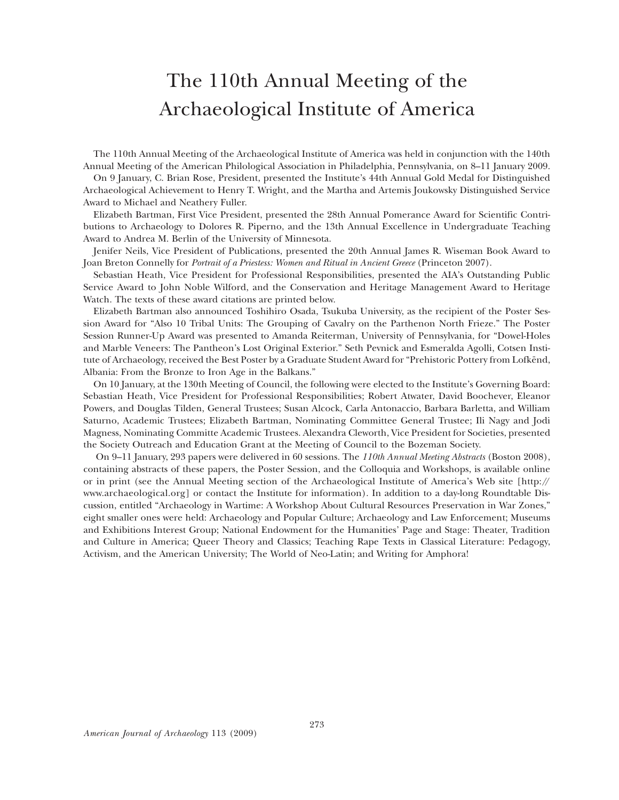# The 110th Annual Meeting of the Archaeological Institute of America

The 110th Annual Meeting of the Archaeological Institute of America was held in conjunction with the 140th Annual Meeting of the American Philological Association in Philadelphia, Pennsylvania, on 8–11 January 2009.

On 9 January, C. Brian Rose, President, presented the Institute's 44th Annual Gold Medal for Distinguished Archaeological Achievement to Henry T. Wright, and the Martha and Artemis Joukowsky Distinguished Service Award to Michael and Neathery Fuller.

Elizabeth Bartman, First Vice President, presented the 28th Annual Pomerance Award for Scientific Contributions to Archaeology to Dolores R. Piperno, and the 13th Annual Excellence in Undergraduate Teaching Award to Andrea M. Berlin of the University of Minnesota.

Jenifer Neils, Vice President of Publications, presented the 20th Annual James R. Wiseman Book Award to Joan Breton Connelly for *Portrait of a Priestess: Women and Ritual in Ancient Greece* (Princeton 2007).

Sebastian Heath, Vice President for Professional Responsibilities, presented the AIA's Outstanding Public Service Award to John Noble Wilford, and the Conservation and Heritage Management Award to Heritage Watch. The texts of these award citations are printed below.

Elizabeth Bartman also announced Toshihiro Osada, Tsukuba University, as the recipient of the Poster Session Award for "Also 10 Tribal Units: The Grouping of Cavalry on the Parthenon North Frieze." The Poster Session Runner-Up Award was presented to Amanda Reiterman, University of Pennsylvania, for "Dowel-Holes and Marble Veneers: The Pantheon's Lost Original Exterior." Seth Pevnick and Esmeralda Agolli, Cotsen Institute of Archaeology, received the Best Poster by a Graduate Student Award for "Prehistoric Pottery from Lofkënd, Albania: From the Bronze to Iron Age in the Balkans."

On 10 January, at the 130th Meeting of Council, the following were elected to the Institute's Governing Board: Sebastian Heath, Vice President for Professional Responsibilities; Robert Atwater, David Boochever, Eleanor Powers, and Douglas Tilden, General Trustees; Susan Alcock, Carla Antonaccio, Barbara Barletta, and William Saturno, Academic Trustees; Elizabeth Bartman, Nominating Committee General Trustee; Ili Nagy and Jodi Magness, Nominating Committe Academic Trustees. Alexandra Cleworth, Vice President for Societies, presented the Society Outreach and Education Grant at the Meeting of Council to the Bozeman Society.

 On 9–11 January, 293 papers were delivered in 60 sessions. The *110th Annual Meeting Abstracts* (Boston 2008), containing abstracts of these papers, the Poster Session, and the Colloquia and Workshops, is available online or in print (see the Annual Meeting section of the Archaeological Institute of America's Web site [http:// www.archaeological.org] or contact the Institute for information). In addition to a day-long Roundtable Discussion, entitled "Archaeology in Wartime: A Workshop About Cultural Resources Preservation in War Zones," eight smaller ones were held: Archaeology and Popular Culture; Archaeology and Law Enforcement; Museums and Exhibitions Interest Group; National Endowment for the Humanities' Page and Stage: Theater, Tradition and Culture in America; Queer Theory and Classics; Teaching Rape Texts in Classical Literature: Pedagogy, Activism, and the American University; The World of Neo-Latin; and Writing for Amphora!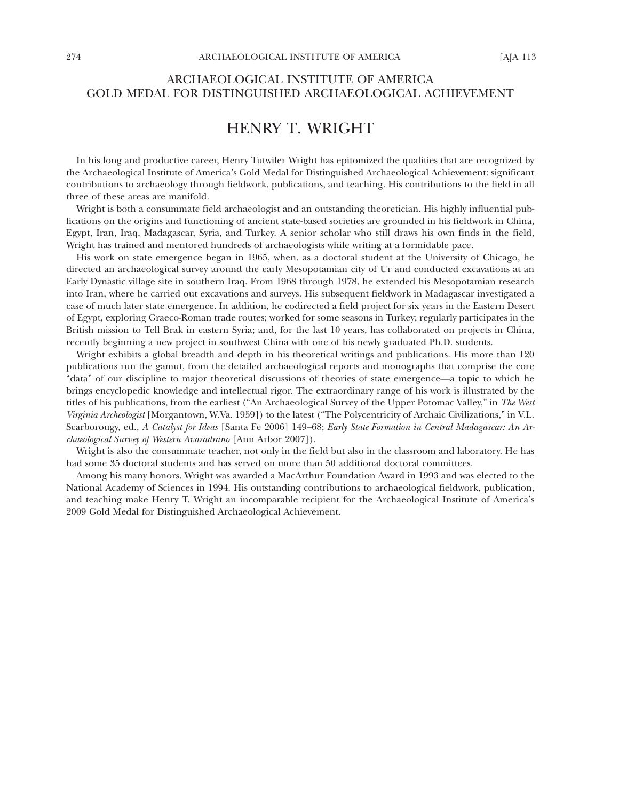## ARCHAEOLOGICAL INSTITUTE OF AMERICA GOLD MEDAL FOR DISTINGUISHED ARCHAEOLOGICAL ACHIEVEMENT

## HENRY T. WRIGHT

In his long and productive career, Henry Tutwiler Wright has epitomized the qualities that are recognized by the Archaeological Institute of America's Gold Medal for Distinguished Archaeological Achievement: significant contributions to archaeology through fieldwork, publications, and teaching. His contributions to the field in all three of these areas are manifold.

Wright is both a consummate field archaeologist and an outstanding theoretician. His highly influential publications on the origins and functioning of ancient state-based societies are grounded in his fieldwork in China, Egypt, Iran, Iraq, Madagascar, Syria, and Turkey. A senior scholar who still draws his own finds in the field, Wright has trained and mentored hundreds of archaeologists while writing at a formidable pace.

His work on state emergence began in 1965, when, as a doctoral student at the University of Chicago, he directed an archaeological survey around the early Mesopotamian city of Ur and conducted excavations at an Early Dynastic village site in southern Iraq. From 1968 through 1978, he extended his Mesopotamian research into Iran, where he carried out excavations and surveys. His subsequent fieldwork in Madagascar investigated a case of much later state emergence. In addition, he codirected a field project for six years in the Eastern Desert of Egypt, exploring Graeco-Roman trade routes; worked for some seasons in Turkey; regularly participates in the British mission to Tell Brak in eastern Syria; and, for the last 10 years, has collaborated on projects in China, recently beginning a new project in southwest China with one of his newly graduated Ph.D. students.

Wright exhibits a global breadth and depth in his theoretical writings and publications. His more than 120 publications run the gamut, from the detailed archaeological reports and monographs that comprise the core "data" of our discipline to major theoretical discussions of theories of state emergence—a topic to which he brings encyclopedic knowledge and intellectual rigor. The extraordinary range of his work is illustrated by the titles of his publications, from the earliest ("An Archaeological Survey of the Upper Potomac Valley," in *The West Virginia Archeologist* [Morgantown, W.Va. 1959]) to the latest ("The Polycentricity of Archaic Civilizations," in V.L. Scarborougy, ed., *A Catalyst for Ideas* [Santa Fe 2006] 149–68; *Early State Formation in Central Madagascar: An Archaeological Survey of Western Avaradrano* [Ann Arbor 2007]).

Wright is also the consummate teacher, not only in the field but also in the classroom and laboratory. He has had some 35 doctoral students and has served on more than 50 additional doctoral committees.

Among his many honors, Wright was awarded a MacArthur Foundation Award in 1993 and was elected to the National Academy of Sciences in 1994. His outstanding contributions to archaeological fieldwork, publication, and teaching make Henry T. Wright an incomparable recipient for the Archaeological Institute of America's 2009 Gold Medal for Distinguished Archaeological Achievement.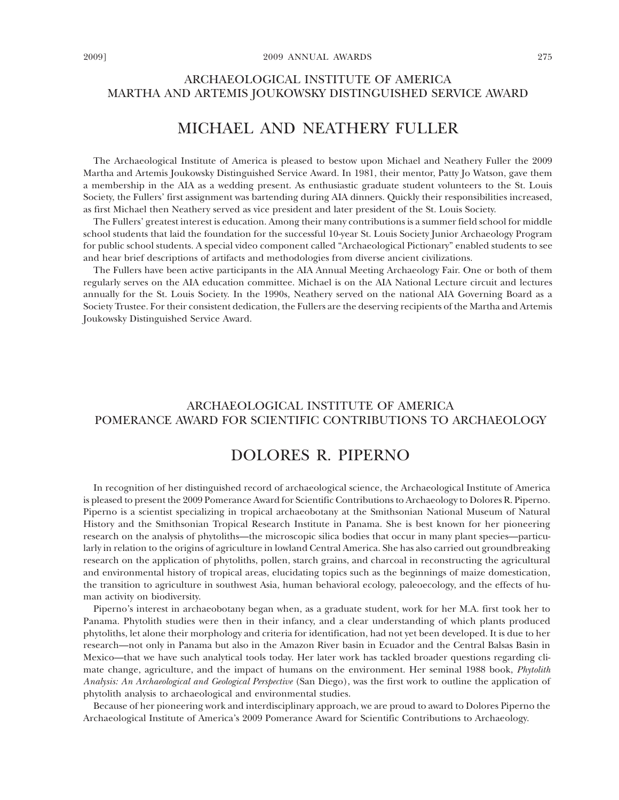## ARCHAEOLOGICAL INSTITUTE OF AMERICA MARTHA AND ARTEMIS JOUKOWSKY DISTINGUISHED SERVICE AWARD

# MICHAEL AND NEATHERY FULLER

The Archaeological Institute of America is pleased to bestow upon Michael and Neathery Fuller the 2009 Martha and Artemis Joukowsky Distinguished Service Award. In 1981, their mentor, Patty Jo Watson, gave them a membership in the AIA as a wedding present. As enthusiastic graduate student volunteers to the St. Louis Society, the Fullers' first assignment was bartending during AIA dinners. Quickly their responsibilities increased, as first Michael then Neathery served as vice president and later president of the St. Louis Society.

The Fullers' greatest interest is education. Among their many contributions is a summer field school for middle school students that laid the foundation for the successful 10-year St. Louis Society Junior Archaeology Program for public school students. A special video component called "Archaeological Pictionary" enabled students to see and hear brief descriptions of artifacts and methodologies from diverse ancient civilizations.

The Fullers have been active participants in the AIA Annual Meeting Archaeology Fair. One or both of them regularly serves on the AIA education committee. Michael is on the AIA National Lecture circuit and lectures annually for the St. Louis Society. In the 1990s, Neathery served on the national AIA Governing Board as a Society Trustee. For their consistent dedication, the Fullers are the deserving recipients of the Martha and Artemis Joukowsky Distinguished Service Award.

## ARCHAEOLOGICAL INSTITUTE OF AMERICA POMERANCE AWARD FOR SCIENTIFIC CONTRIBUTIONS TO ARCHAEOLOGY

## DOLORES R. PIPERNO

In recognition of her distinguished record of archaeological science, the Archaeological Institute of America is pleased to present the 2009 Pomerance Award for Scientific Contributions to Archaeology to Dolores R. Piperno. Piperno is a scientist specializing in tropical archaeobotany at the Smithsonian National Museum of Natural History and the Smithsonian Tropical Research Institute in Panama. She is best known for her pioneering research on the analysis of phytoliths—the microscopic silica bodies that occur in many plant species—particularly in relation to the origins of agriculture in lowland Central America. She has also carried out groundbreaking research on the application of phytoliths, pollen, starch grains, and charcoal in reconstructing the agricultural and environmental history of tropical areas, elucidating topics such as the beginnings of maize domestication, the transition to agriculture in southwest Asia, human behavioral ecology, paleoecology, and the effects of human activity on biodiversity.

Piperno's interest in archaeobotany began when, as a graduate student, work for her M.A. first took her to Panama. Phytolith studies were then in their infancy, and a clear understanding of which plants produced phytoliths, let alone their morphology and criteria for identification, had not yet been developed. It is due to her research—not only in Panama but also in the Amazon River basin in Ecuador and the Central Balsas Basin in Mexico—that we have such analytical tools today. Her later work has tackled broader questions regarding climate change, agriculture, and the impact of humans on the environment. Her seminal 1988 book, *Phytolith Analysis: An Archaeological and Geological Perspective* (San Diego), was the first work to outline the application of phytolith analysis to archaeological and environmental studies.

Because of her pioneering work and interdisciplinary approach, we are proud to award to Dolores Piperno the Archaeological Institute of America's 2009 Pomerance Award for Scientific Contributions to Archaeology.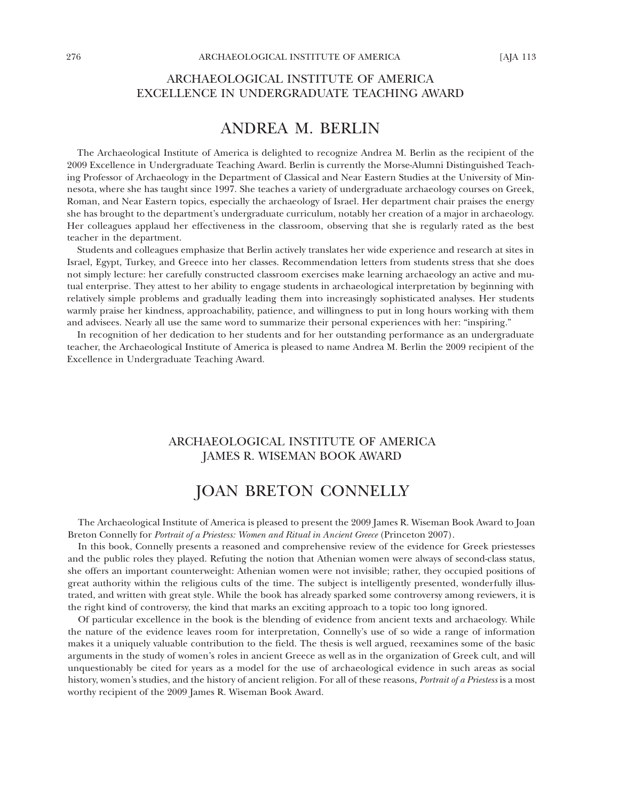#### ARCHAEOLOGICAL INSTITUTE OF AMERICA EXCELLENCE IN UNDERGRADUATE TEACHING AWARD

## ANDREA M. BERLIN

The Archaeological Institute of America is delighted to recognize Andrea M. Berlin as the recipient of the 2009 Excellence in Undergraduate Teaching Award. Berlin is currently the Morse-Alumni Distinguished Teaching Professor of Archaeology in the Department of Classical and Near Eastern Studies at the University of Minnesota, where she has taught since 1997. She teaches a variety of undergraduate archaeology courses on Greek, Roman, and Near Eastern topics, especially the archaeology of Israel. Her department chair praises the energy she has brought to the department's undergraduate curriculum, notably her creation of a major in archaeology. Her colleagues applaud her effectiveness in the classroom, observing that she is regularly rated as the best teacher in the department.

Students and colleagues emphasize that Berlin actively translates her wide experience and research at sites in Israel, Egypt, Turkey, and Greece into her classes. Recommendation letters from students stress that she does not simply lecture: her carefully constructed classroom exercises make learning archaeology an active and mutual enterprise. They attest to her ability to engage students in archaeological interpretation by beginning with relatively simple problems and gradually leading them into increasingly sophisticated analyses. Her students warmly praise her kindness, approachability, patience, and willingness to put in long hours working with them and advisees. Nearly all use the same word to summarize their personal experiences with her: "inspiring."

In recognition of her dedication to her students and for her outstanding performance as an undergraduate teacher, the Archaeological Institute of America is pleased to name Andrea M. Berlin the 2009 recipient of the Excellence in Undergraduate Teaching Award.

## ARCHAEOLOGICAL INSTITUTE OF AMERICA JAMES R. WISEMAN BOOK AWARD

# JOAN BRETON CONNELLY

The Archaeological Institute of America is pleased to present the 2009 James R. Wiseman Book Award to Joan Breton Connelly for *Portrait of a Priestess: Women and Ritual in Ancient Greece* (Princeton 2007).

In this book, Connelly presents a reasoned and comprehensive review of the evidence for Greek priestesses and the public roles they played. Refuting the notion that Athenian women were always of second-class status, she offers an important counterweight: Athenian women were not invisible; rather, they occupied positions of great authority within the religious cults of the time. The subject is intelligently presented, wonderfully illustrated, and written with great style. While the book has already sparked some controversy among reviewers, it is the right kind of controversy, the kind that marks an exciting approach to a topic too long ignored.

Of particular excellence in the book is the blending of evidence from ancient texts and archaeology. While the nature of the evidence leaves room for interpretation, Connelly's use of so wide a range of information makes it a uniquely valuable contribution to the field. The thesis is well argued, reexamines some of the basic arguments in the study of women's roles in ancient Greece as well as in the organization of Greek cult, and will unquestionably be cited for years as a model for the use of archaeological evidence in such areas as social history, women's studies, and the history of ancient religion. For all of these reasons, *Portrait of a Priestess* is a most worthy recipient of the 2009 James R. Wiseman Book Award.